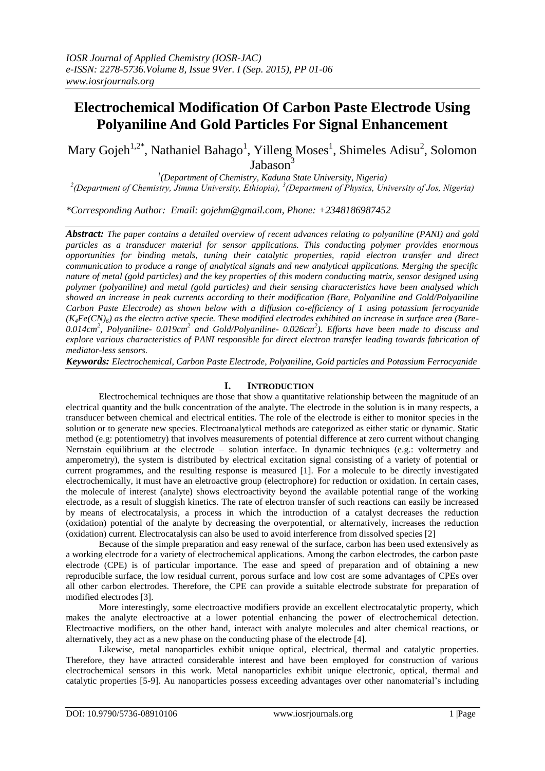# **Electrochemical Modification Of Carbon Paste Electrode Using Polyaniline And Gold Particles For Signal Enhancement**

Mary Gojeh<sup>1,2\*</sup>, Nathaniel Bahago<sup>1</sup>, Yilleng Moses<sup>1</sup>, Shimeles Adisu<sup>2</sup>, Solomon Jabason<sup>3</sup>

*1 (Department of Chemistry, Kaduna State University, Nigeria) 2 (Department of Chemistry, Jimma University, Ethiopia), 3 (Department of Physics, University of Jos, Nigeria)*

*\*Corresponding Author: Email: gojehm@gmail.com, Phone: +2348186987452*

*Abstract: The paper contains a detailed overview of recent advances relating to polyaniline (PANI) and gold particles as a transducer material for sensor applications. This conducting polymer provides enormous opportunities for binding metals, tuning their catalytic properties, rapid electron transfer and direct communication to produce a range of analytical signals and new analytical applications. Merging the specific nature of metal (gold particles) and the key properties of this modern conducting matrix, sensor designed using polymer (polyaniline) and metal (gold particles) and their sensing characteristics have been analysed which showed an increase in peak currents according to their modification (Bare, Polyaniline and Gold/Polyaniline Carbon Paste Electrode) as shown below with a diffusion co-efficiency of 1 using potassium ferrocyanide*   $(K<sub>A</sub>Fe(CN)<sub>A</sub>)$  as the electro active specie. These modified electrodes exhibited an increase in surface area (Bare-*0.014cm<sup>2</sup> , Polyaniline- 0.019cm<sup>2</sup> and Gold/Polyaniline- 0.026cm<sup>2</sup> ). Efforts have been made to discuss and explore various characteristics of PANI responsible for direct electron transfer leading towards fabrication of mediator-less sensors.* 

*Keywords: Electrochemical, Carbon Paste Electrode, Polyaniline, Gold particles and Potassium Ferrocyanide*

### **I. INTRODUCTION**

Electrochemical techniques are those that show a quantitative relationship between the magnitude of an electrical quantity and the bulk concentration of the analyte. The electrode in the solution is in many respects, a transducer between chemical and electrical entities. The role of the electrode is either to monitor species in the solution or to generate new species. Electroanalytical methods are categorized as either static or dynamic. Static method (e.g: potentiometry) that involves measurements of potential difference at zero current without changing Nernstain equilibrium at the electrode – solution interface. In dynamic techniques (e.g.: voltermetry and amperometry), the system is distributed by electrical excitation signal consisting of a variety of potential or current programmes, and the resulting response is measured [1]. For a molecule to be directly investigated electrochemically, it must have an eletroactive group (electrophore) for reduction or oxidation. In certain cases, the molecule of interest (analyte) shows electroactivity beyond the available potential range of the working electrode, as a result of sluggish kinetics. The rate of electron transfer of such reactions can easily be increased by means of electrocatalysis, a process in which the introduction of a catalyst decreases the reduction (oxidation) potential of the analyte by decreasing the overpotential, or alternatively, increases the reduction (oxidation) current. Electrocatalysis can also be used to avoid interference from dissolved species [2]

Because of the simple preparation and easy renewal of the surface, carbon has been used extensively as a working electrode for a variety of electrochemical applications. Among the carbon electrodes, the carbon paste electrode (CPE) is of particular importance. The ease and speed of preparation and of obtaining a new reproducible surface, the low residual current, porous surface and low cost are some advantages of CPEs over all other carbon electrodes. Therefore, the CPE can provide a suitable electrode substrate for preparation of modified electrodes [3].

More interestingly, some electroactive modifiers provide an excellent electrocatalytic property, which makes the analyte electroactive at a lower potential enhancing the power of electrochemical detection. Electroactive modifiers, on the other hand, interact with analyte molecules and alter chemical reactions, or alternatively, they act as a new phase on the conducting phase of the electrode [4].

Likewise, metal nanoparticles exhibit unique optical, electrical, thermal and catalytic properties. Therefore, they have attracted considerable interest and have been employed for construction of various electrochemical sensors in this work. Metal nanoparticles exhibit unique electronic, optical, thermal and catalytic properties [5-9]. Au nanoparticles possess exceeding advantages over other nanomaterial's including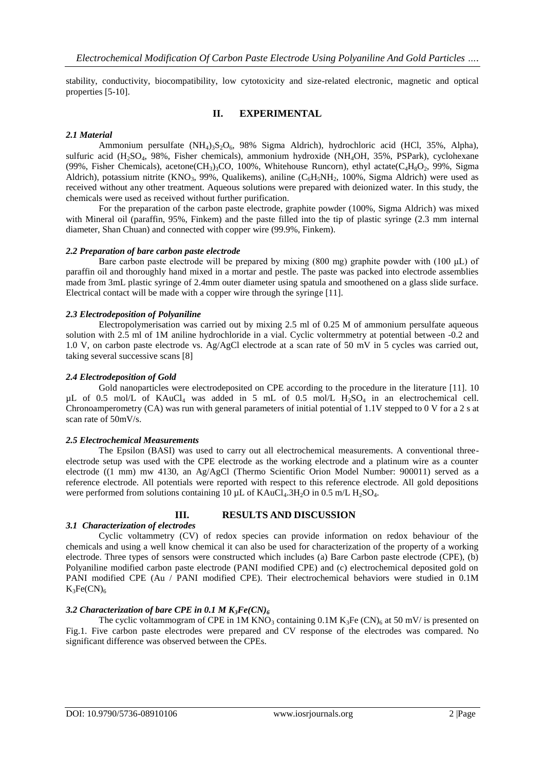stability, conductivity, biocompatibility, low cytotoxicity and size-related electronic, magnetic and optical properties [5-10].

### **II. EXPERIMENTAL**

### *2.1 Material*

Ammonium persulfate  $(NH_4)_{3}S_2O_6$ , 98% Sigma Aldrich), hydrochloric acid (HCl, 35%, Alpha), sulfuric acid (H<sub>2</sub>SO<sub>4</sub>, 98%, Fisher chemicals), ammonium hydroxide (NH<sub>4</sub>OH, 35%, PSPark), cyclohexane (99%, Fisher Chemicals), acetone(CH<sub>3</sub>)<sub>3</sub>CO, 100%, Whitehouse Runcorn), ethyl actate(C<sub>4</sub>H<sub>8</sub>O<sub>2</sub>, 99%, Sigma Aldrich), potassium nitrite (KNO<sub>3</sub>, 99%, Qualikems), aniline (C<sub>6</sub>H<sub>5</sub>NH<sub>2</sub>, 100%, Sigma Aldrich) were used as received without any other treatment. Aqueous solutions were prepared with deionized water. In this study, the chemicals were used as received without further purification.

For the preparation of the carbon paste electrode, graphite powder (100%, Sigma Aldrich) was mixed with Mineral oil (paraffin, 95%, Finkem) and the paste filled into the tip of plastic syringe (2.3 mm internal diameter, Shan Chuan) and connected with copper wire (99.9%, Finkem).

### *2.2 Preparation of bare carbon paste electrode*

Bare carbon paste electrode will be prepared by mixing (800 mg) graphite powder with (100 μL) of paraffin oil and thoroughly hand mixed in a mortar and pestle. The paste was packed into electrode assemblies made from 3mL plastic syringe of 2.4mm outer diameter using spatula and smoothened on a glass slide surface. Electrical contact will be made with a copper wire through the syringe [11].

### *2.3 Electrodeposition of Polyaniline*

Electropolymerisation was carried out by mixing 2.5 ml of 0.25 M of ammonium persulfate aqueous solution with 2.5 ml of 1M aniline hydrochloride in a vial. Cyclic voltermmetry at potential between -0.2 and 1.0 V, on carbon paste electrode vs. Ag/AgCl electrode at a scan rate of 50 mV in 5 cycles was carried out, taking several successive scans [8]

### *2.4 Electrodeposition of Gold*

Gold nanoparticles were electrodeposited on CPE according to the procedure in the literature [11]. 10 µL of 0.5 mol/L of KAuCl<sup>4</sup> was added in 5 mL of 0.5 mol/L H2SO<sup>4</sup> in an electrochemical cell. Chronoamperometry (CA) was run with general parameters of initial potential of 1.1V stepped to 0 V for a 2 s at scan rate of 50mV/s.

### *2.5 Electrochemical Measurements*

The Epsilon (BASI) was used to carry out all electrochemical measurements. A conventional threeelectrode setup was used with the CPE electrode as the working electrode and a platinum wire as a counter electrode ((1 mm) mw 4130, an Ag/AgCl (Thermo Scientific Orion Model Number: 900011) served as a reference electrode. All potentials were reported with respect to this reference electrode. All gold depositions were performed from solutions containing 10  $\mu$ L of KAuCl<sub>4</sub>.3H<sub>2</sub>O in 0.5 m/L H<sub>2</sub>SO<sub>4</sub>.

## *3.1 Characterization of electrodes*

### **III. RESULTS AND DISCUSSION**

Cyclic voltammetry (CV) of redox species can provide information on redox behaviour of the chemicals and using a well know chemical it can also be used for characterization of the property of a working electrode. Three types of sensors were constructed which includes (a) Bare Carbon paste electrode (CPE), (b) Polyaniline modified carbon paste electrode (PANI modified CPE) and (c) electrochemical deposited gold on PANI modified CPE (Au / PANI modified CPE). Their electrochemical behaviors were studied in 0.1M  $K_3Fe(CN)<sub>6</sub>$ 

### *3.2 Characterization of bare CPE in 0.1 M K3Fe(CN)<sup>6</sup>*

The cyclic voltammogram of CPE in 1M KNO<sub>3</sub> containing 0.1M K<sub>3</sub>Fe (CN)<sub>6</sub> at 50 mV/ is presented on Fig.1. Five carbon paste electrodes were prepared and CV response of the electrodes was compared. No significant difference was observed between the CPEs.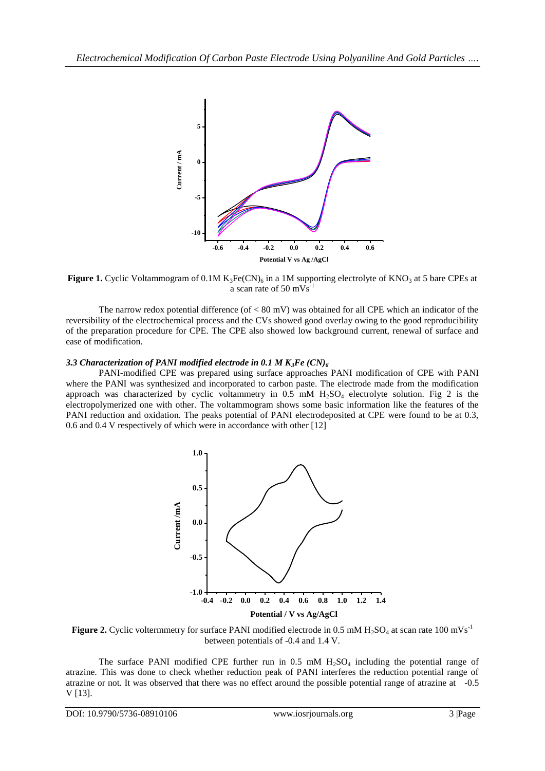

Figure 1. Cyclic Voltammogram of 0.1M K<sub>3</sub>Fe(CN)<sub>6</sub> in a 1M supporting electrolyte of KNO<sub>3</sub> at 5 bare CPEs at a scan rate of 50 mVs

The narrow redox potential difference (of  $< 80$  mV) was obtained for all CPE which an indicator of the reversibility of the electrochemical process and the CVs showed good overlay owing to the good reproducibility of the preparation procedure for CPE. The CPE also showed low background current, renewal of surface and ease of modification.

### *3.3 Characterization of PANI modified electrode in 0.1 M K3Fe (CN)<sup>6</sup>*

PANI-modified CPE was prepared using surface approaches PANI modification of CPE with PANI where the PANI was synthesized and incorporated to carbon paste. The electrode made from the modification approach was characterized by cyclic voltammetry in  $0.5$  mM  $H<sub>2</sub>SO<sub>4</sub>$  electrolyte solution. Fig 2 is the electropolymerized one with other. The voltammogram shows some basic information like the features of the PANI reduction and oxidation. The peaks potential of PANI electrodeposited at CPE were found to be at 0.3, 0.6 and 0.4 V respectively of which were in accordance with other [12]



**Figure 2.** Cyclic voltermmetry for surface PANI modified electrode in 0.5 mM  $H_2SO_4$  at scan rate 100 mVs<sup>-1</sup> between potentials of -0.4 and 1.4 V.

The surface PANI modified CPE further run in  $0.5 \text{ mM } H_2\text{SO}_4$  including the potential range of atrazine. This was done to check whether reduction peak of PANI interferes the reduction potential range of atrazine or not. It was observed that there was no effect around the possible potential range of atrazine at -0.5 V [13].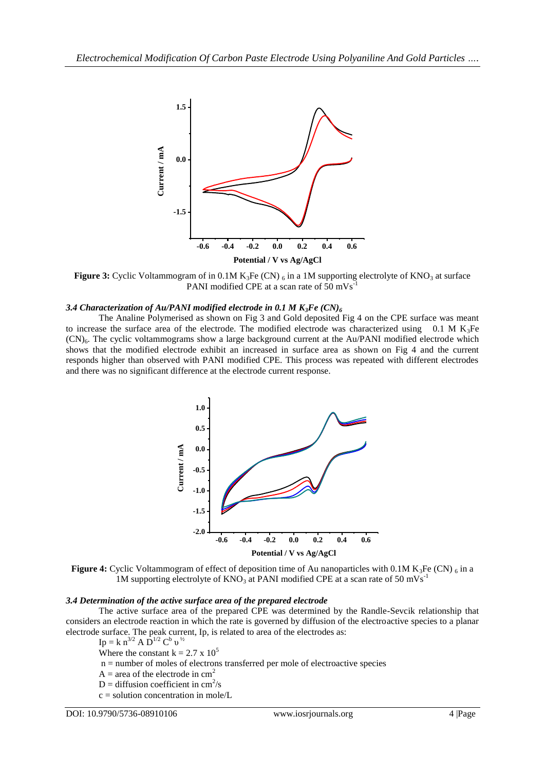

**Figure 3:** Cyclic Voltammogram of in 0.1M  $K_3Fe$  (CN)  $_6$  in a 1M supporting electrolyte of  $KNO_3$  at surface PANI modified CPE at a scan rate of 50 mVs<sup>-1</sup>

#### *3.4 Characterization of Au/PANI modified electrode in 0.1 M K3Fe (CN)<sup>6</sup>*

The Analine Polymerised as shown on Fig 3 and Gold deposited Fig 4 on the CPE surface was meant to increase the surface area of the electrode. The modified electrode was characterized using 0.1 M  $K_3$ Fe  $(CN)<sub>6</sub>$ . The cyclic voltammograms show a large background current at the Au/PANI modified electrode which shows that the modified electrode exhibit an increased in surface area as shown on Fig 4 and the current responds higher than observed with PANI modified CPE. This process was repeated with different electrodes and there was no significant difference at the electrode current response.



**Figure 4:** Cyclic Voltammogram of effect of deposition time of Au nanoparticles with 0.1M K<sub>3</sub>Fe (CN)  $_6$  in a 1M supporting electrolyte of  $KNO_3$  at PANI modified CPE at a scan rate of 50 mVs<sup>-1</sup>

#### *3.4 Determination of the active surface area of the prepared electrode*

The active surface area of the prepared CPE was determined by the Randle-Sevcik relationship that considers an electrode reaction in which the rate is governed by diffusion of the electroactive species to a planar electrode surface. The peak current, Ip, is related to area of the electrodes as:

 $\text{Ip} = \text{k} \text{ n}^{3/2} \text{ A} \text{ D}^{1/2} \text{ C}^{\text{b}} \text{ v}^{1/2}$ 

Where the constant  $k = 2.7 \times 10^5$ 

n = number of moles of electrons transferred per mole of electroactive species

 $A = \text{area of the electrode in cm}^2$ 

 $D =$  diffusion coefficient in cm<sup>2</sup>/s

 $c =$  solution concentration in mole/L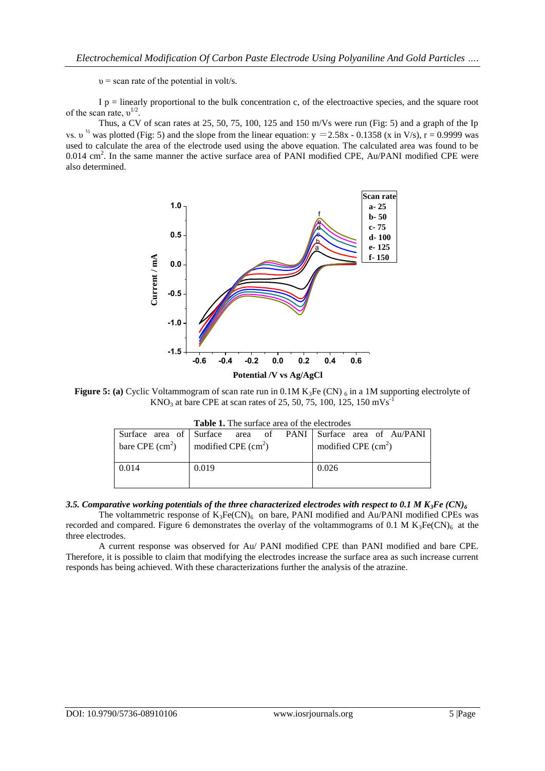$v =$  scan rate of the potential in volt/s.

 $I$  p = linearly proportional to the bulk concentration c, of the electroactive species, and the square root of the scan rate,  $v^{1/2}$ .

Thus, a CV of scan rates at 25, 50, 75, 100, 125 and 150 m/Vs were run (Fig: 5) and a graph of the Ip vs.  $v^{1/2}$  was plotted (Fig: 5) and the slope from the linear equation: y = 2.58x - 0.1358 (x in V/s), r = 0.9999 was used to calculate the area of the electrode used using the above equation. The calculated area was found to be 0.014 cm<sup>2</sup>. In the same manner the active surface area of PANI modified CPE, Au/PANI modified CPE were also determined.



**Figure 5: (a)** Cyclic Voltammogram of scan rate run in 0.1M K<sub>3</sub>Fe (CN) 6 in a 1M supporting electrolyte of  $KNO<sub>3</sub>$  at bare CPE at scan rates of 25, 50, 75, 100, 125, 150 mVs<sup>-1</sup>

| <b>Table 1.</b> The surface area of the electrodes |                                                              |                      |
|----------------------------------------------------|--------------------------------------------------------------|----------------------|
|                                                    | Surface area of Surface area of PANI Surface area of Au/PANI |                      |
|                                                    | bare CPE $(cm2)$   modified CPE $(cm2)$                      | modified CPE $(cm2)$ |
| 0.014                                              | 0.019                                                        | 0.026                |

### 3.5. Comparative working potentials of the three characterized electrodes with respect to 0.1 M  $K_3Fe$  (CN)<sup> $6$ </sup>

The voltammetric response of  $K_3Fe(CN)_6$  on bare, PANI modified and Au/PANI modified CPEs was recorded and compared. Figure 6 demonstrates the overlay of the voltammograms of 0.1 M  $K_3Fe(CN)_6$  at the three electrodes.

A current response was observed for Au/ PANI modified CPE than PANI modified and bare CPE. Therefore, it is possible to claim that modifying the electrodes increase the surface area as such increase current responds has being achieved. With these characterizations further the analysis of the atrazine.